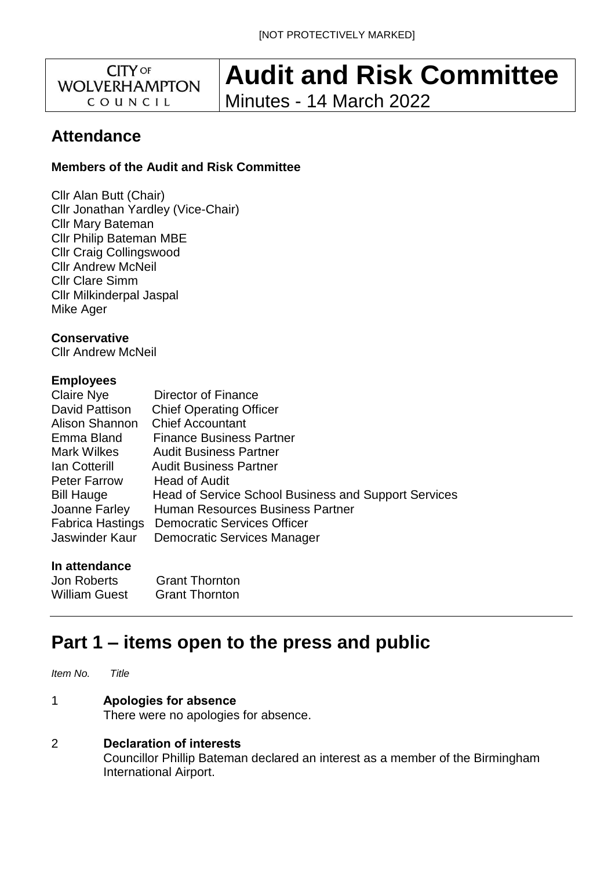**CITY OF WOLVERHAMPTON** COUNCIL

# **Audit and Risk Committee**

Minutes - 14 March 2022

# **Attendance**

# **Members of the Audit and Risk Committee**

Cllr Alan Butt (Chair) Cllr Jonathan Yardley (Vice-Chair) Cllr Mary Bateman Cllr Philip Bateman MBE Cllr Craig Collingswood Cllr Andrew McNeil Cllr Clare Simm Cllr Milkinderpal Jaspal Mike Ager

**Conservative**  Cllr Andrew McNeil

# **Employees**

| Claire Nye              | Director of Finance                                  |
|-------------------------|------------------------------------------------------|
| David Pattison          | <b>Chief Operating Officer</b>                       |
| Alison Shannon          | <b>Chief Accountant</b>                              |
| Emma Bland              | <b>Finance Business Partner</b>                      |
| Mark Wilkes             | <b>Audit Business Partner</b>                        |
| lan Cotterill           | <b>Audit Business Partner</b>                        |
| <b>Peter Farrow</b>     | Head of Audit                                        |
| <b>Bill Hauge</b>       | Head of Service School Business and Support Services |
| Joanne Farley           | Human Resources Business Partner                     |
| <b>Fabrica Hastings</b> | <b>Democratic Services Officer</b>                   |
| Jaswinder Kaur          | <b>Democratic Services Manager</b>                   |
|                         |                                                      |

# **In attendance**

| Jon Roberts          | <b>Grant Thornton</b> |
|----------------------|-----------------------|
| <b>William Guest</b> | <b>Grant Thornton</b> |

# **Part 1 – items open to the press and public**

*Item No. Title*

# 1 **Apologies for absence**

There were no apologies for absence.

# 2 **Declaration of interests**

Councillor Phillip Bateman declared an interest as a member of the Birmingham International Airport.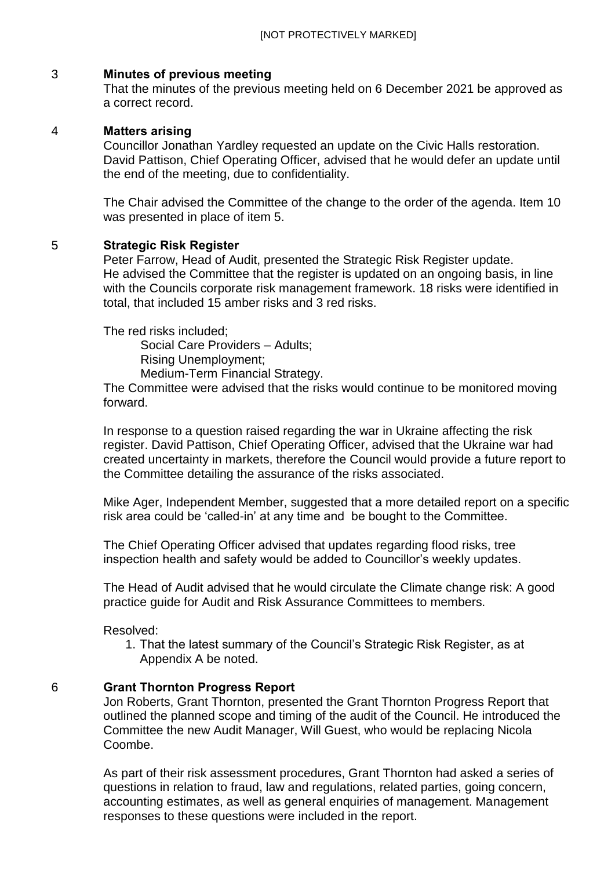#### 3 **Minutes of previous meeting**

That the minutes of the previous meeting held on 6 December 2021 be approved as a correct record.

#### 4 **Matters arising**

Councillor Jonathan Yardley requested an update on the Civic Halls restoration. David Pattison, Chief Operating Officer, advised that he would defer an update until the end of the meeting, due to confidentiality.

The Chair advised the Committee of the change to the order of the agenda. Item 10 was presented in place of item 5.

#### 5 **Strategic Risk Register**

Peter Farrow, Head of Audit, presented the Strategic Risk Register update. He advised the Committee that the register is updated on an ongoing basis, in line with the Councils corporate risk management framework. 18 risks were identified in total, that included 15 amber risks and 3 red risks.

The red risks included;

Social Care Providers – Adults;

Rising Unemployment;

Medium-Term Financial Strategy.

The Committee were advised that the risks would continue to be monitored moving forward.

In response to a question raised regarding the war in Ukraine affecting the risk register. David Pattison, Chief Operating Officer, advised that the Ukraine war had created uncertainty in markets, therefore the Council would provide a future report to the Committee detailing the assurance of the risks associated.

Mike Ager, Independent Member, suggested that a more detailed report on a specific risk area could be 'called-in' at any time and be bought to the Committee.

The Chief Operating Officer advised that updates regarding flood risks, tree inspection health and safety would be added to Councillor's weekly updates.

The Head of Audit advised that he would circulate the Climate change risk: A good practice guide for Audit and Risk Assurance Committees to members.

Resolved:

1. That the latest summary of the Council's Strategic Risk Register, as at Appendix A be noted.

#### 6 **Grant Thornton Progress Report**

Jon Roberts, Grant Thornton, presented the Grant Thornton Progress Report that outlined the planned scope and timing of the audit of the Council. He introduced the Committee the new Audit Manager, Will Guest, who would be replacing Nicola Coombe.

As part of their risk assessment procedures, Grant Thornton had asked a series of questions in relation to fraud, law and regulations, related parties, going concern, accounting estimates, as well as general enquiries of management. Management responses to these questions were included in the report.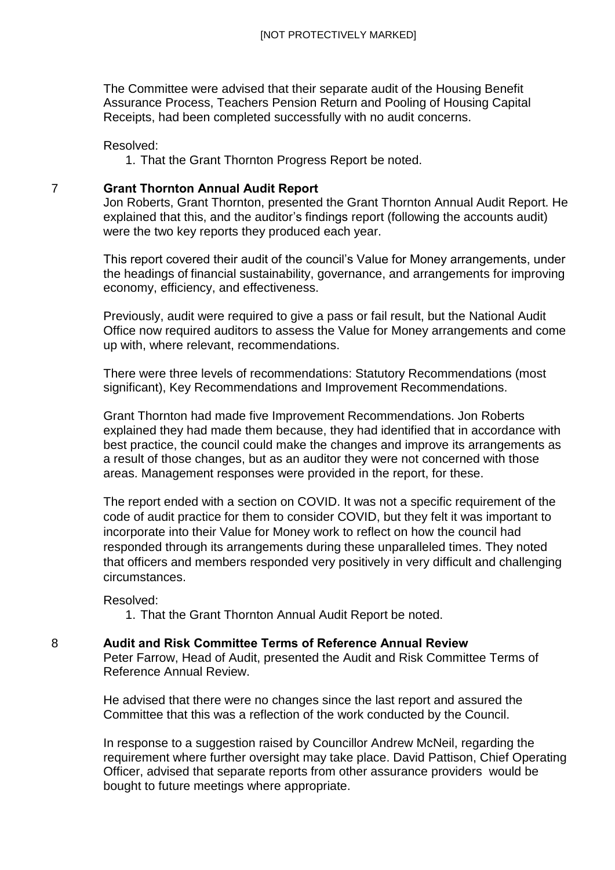The Committee were advised that their separate audit of the Housing Benefit Assurance Process, Teachers Pension Return and Pooling of Housing Capital Receipts, had been completed successfully with no audit concerns.

#### Resolved:

1. That the Grant Thornton Progress Report be noted.

#### 7 **Grant Thornton Annual Audit Report**

Jon Roberts, Grant Thornton, presented the Grant Thornton Annual Audit Report. He explained that this, and the auditor's findings report (following the accounts audit) were the two key reports they produced each year.

This report covered their audit of the council's Value for Money arrangements, under the headings of financial sustainability, governance, and arrangements for improving economy, efficiency, and effectiveness.

Previously, audit were required to give a pass or fail result, but the National Audit Office now required auditors to assess the Value for Money arrangements and come up with, where relevant, recommendations.

There were three levels of recommendations: Statutory Recommendations (most significant), Key Recommendations and Improvement Recommendations.

Grant Thornton had made five Improvement Recommendations. Jon Roberts explained they had made them because, they had identified that in accordance with best practice, the council could make the changes and improve its arrangements as a result of those changes, but as an auditor they were not concerned with those areas. Management responses were provided in the report, for these.

The report ended with a section on COVID. It was not a specific requirement of the code of audit practice for them to consider COVID, but they felt it was important to incorporate into their Value for Money work to reflect on how the council had responded through its arrangements during these unparalleled times. They noted that officers and members responded very positively in very difficult and challenging circumstances.

Resolved:

1. That the Grant Thornton Annual Audit Report be noted.

#### 8 **Audit and Risk Committee Terms of Reference Annual Review**

Peter Farrow, Head of Audit, presented the Audit and Risk Committee Terms of Reference Annual Review.

He advised that there were no changes since the last report and assured the Committee that this was a reflection of the work conducted by the Council.

In response to a suggestion raised by Councillor Andrew McNeil, regarding the requirement where further oversight may take place. David Pattison, Chief Operating Officer, advised that separate reports from other assurance providers would be bought to future meetings where appropriate.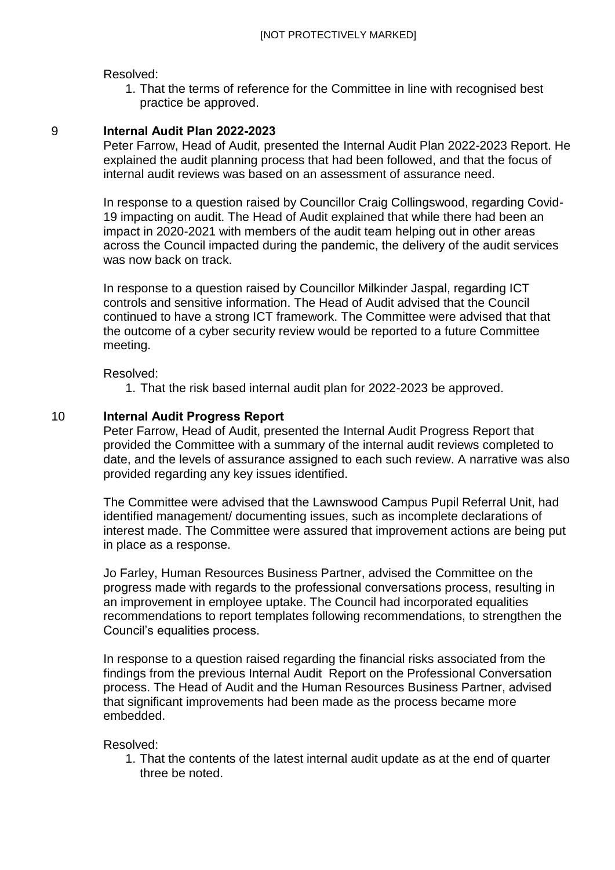Resolved:

1. That the terms of reference for the Committee in line with recognised best practice be approved.

#### 9 **Internal Audit Plan 2022-2023**

Peter Farrow, Head of Audit, presented the Internal Audit Plan 2022-2023 Report. He explained the audit planning process that had been followed, and that the focus of internal audit reviews was based on an assessment of assurance need.

In response to a question raised by Councillor Craig Collingswood, regarding Covid-19 impacting on audit. The Head of Audit explained that while there had been an impact in 2020-2021 with members of the audit team helping out in other areas across the Council impacted during the pandemic, the delivery of the audit services was now back on track.

In response to a question raised by Councillor Milkinder Jaspal, regarding ICT controls and sensitive information. The Head of Audit advised that the Council continued to have a strong ICT framework. The Committee were advised that that the outcome of a cyber security review would be reported to a future Committee meeting.

Resolved:

1. That the risk based internal audit plan for 2022-2023 be approved.

#### 10 **Internal Audit Progress Report**

Peter Farrow, Head of Audit, presented the Internal Audit Progress Report that provided the Committee with a summary of the internal audit reviews completed to date, and the levels of assurance assigned to each such review. A narrative was also provided regarding any key issues identified.

The Committee were advised that the Lawnswood Campus Pupil Referral Unit, had identified management/ documenting issues, such as incomplete declarations of interest made. The Committee were assured that improvement actions are being put in place as a response.

Jo Farley, Human Resources Business Partner, advised the Committee on the progress made with regards to the professional conversations process, resulting in an improvement in employee uptake. The Council had incorporated equalities recommendations to report templates following recommendations, to strengthen the Council's equalities process.

In response to a question raised regarding the financial risks associated from the findings from the previous Internal Audit Report on the Professional Conversation process. The Head of Audit and the Human Resources Business Partner, advised that significant improvements had been made as the process became more embedded.

#### Resolved:

1. That the contents of the latest internal audit update as at the end of quarter three be noted.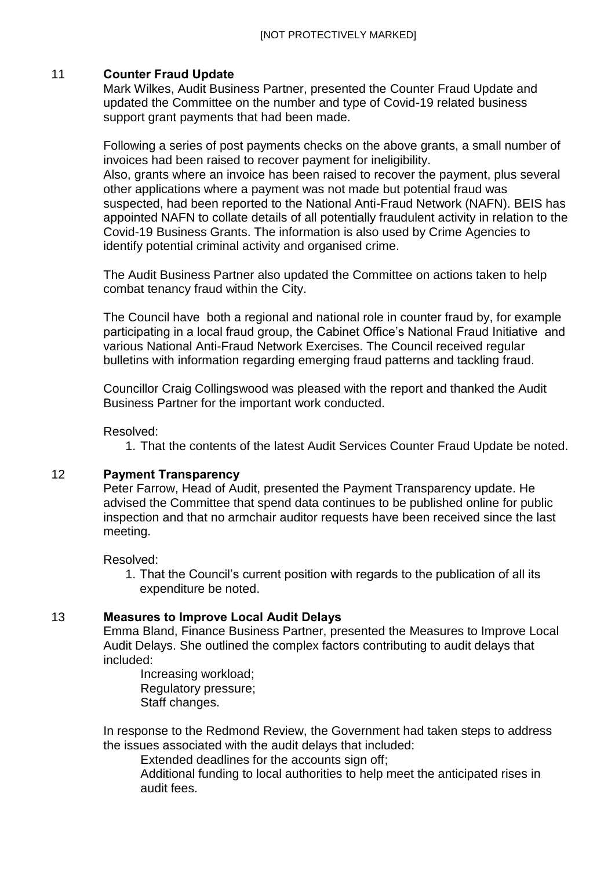# 11 **Counter Fraud Update**

Mark Wilkes, Audit Business Partner, presented the Counter Fraud Update and updated the Committee on the number and type of Covid-19 related business support grant payments that had been made.

Following a series of post payments checks on the above grants, a small number of invoices had been raised to recover payment for ineligibility. Also, grants where an invoice has been raised to recover the payment, plus several other applications where a payment was not made but potential fraud was suspected, had been reported to the National Anti-Fraud Network (NAFN). BEIS has appointed NAFN to collate details of all potentially fraudulent activity in relation to the Covid-19 Business Grants. The information is also used by Crime Agencies to identify potential criminal activity and organised crime.

The Audit Business Partner also updated the Committee on actions taken to help combat tenancy fraud within the City.

The Council have both a regional and national role in counter fraud by, for example participating in a local fraud group, the Cabinet Office's National Fraud Initiative and various National Anti-Fraud Network Exercises. The Council received regular bulletins with information regarding emerging fraud patterns and tackling fraud.

Councillor Craig Collingswood was pleased with the report and thanked the Audit Business Partner for the important work conducted.

Resolved:

1. That the contents of the latest Audit Services Counter Fraud Update be noted.

# 12 **Payment Transparency**

Peter Farrow, Head of Audit, presented the Payment Transparency update. He advised the Committee that spend data continues to be published online for public inspection and that no armchair auditor requests have been received since the last meeting.

Resolved:

1. That the Council's current position with regards to the publication of all its expenditure be noted.

# 13 **Measures to Improve Local Audit Delays**

Emma Bland, Finance Business Partner, presented the Measures to Improve Local Audit Delays. She outlined the complex factors contributing to audit delays that included:

Increasing workload; Regulatory pressure; Staff changes.

In response to the Redmond Review, the Government had taken steps to address the issues associated with the audit delays that included:

Extended deadlines for the accounts sign off;

Additional funding to local authorities to help meet the anticipated rises in audit fees.